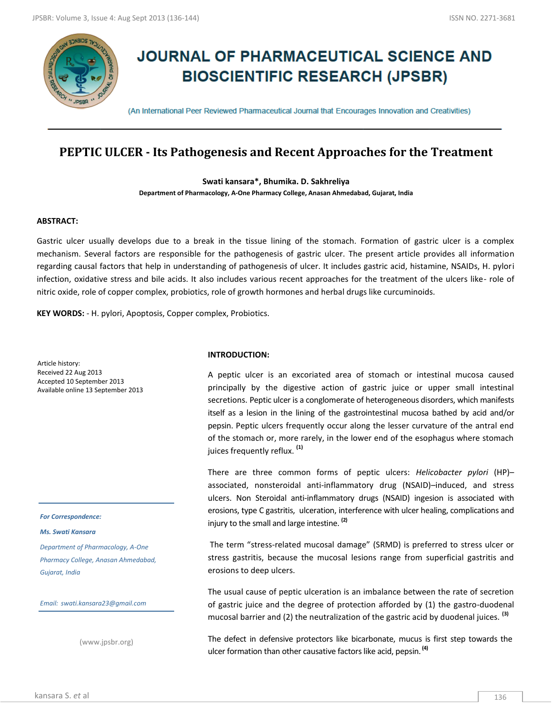

# **JOURNAL OF PHARMACEUTICAL SCIENCE AND BIOSCIENTIFIC RESEARCH (JPSBR)**

(An International Peer Reviewed Pharmaceutical Journal that Encourages Innovation and Creativities)

## **PEPTIC ULCER - Its Pathogenesis and Recent Approaches for the Treatment**

**Swati kansara\*, Bhumika. D. Sakhreliya**

**Department of Pharmacology, A-One Pharmacy College, Anasan Ahmedabad, Gujarat, India**

## **ABSTRACT:**

Gastric ulcer usually develops due to a break in the tissue lining of the stomach. Formation of gastric ulcer is a complex mechanism. Several factors are responsible for the pathogenesis of gastric ulcer. The present article provides all information regarding causal factors that help in understanding of pathogenesis of ulcer. It includes gastric acid, histamine, NSAIDs, H. pylori infection, oxidative stress and bile acids. It also includes various recent approaches for the treatment of the ulcers like- role of nitric oxide, role of copper complex, probiotics, role of growth hormones and herbal drugs like curcuminoids.

**KEY WORDS:** - H. pylori, Apoptosis, Copper complex, Probiotics.

Article history: Received 22 Aug 2013 Accepted 10 September 2013 Available online 13 September 2013

*For Correspondence:*

#### *Ms. Swati Kansara*

*Department of Pharmacology, A-One Pharmacy College, Anasan Ahmedabad, Gujarat, India*

*Email: swati.kansara23@gmail.com*

(www.jpsbr.org)

## **INTRODUCTION:**

A peptic ulcer is an excoriated area of stomach or intestinal mucosa caused principally by the digestive action of gastric juice or upper small intestinal secretions. Peptic ulcer is a conglomerate of heterogeneous disorders, which manifests itself as a lesion in the lining of the gastrointestinal mucosa bathed by acid and/or pepsin. Peptic ulcers frequently occur along the lesser curvature of the antral end of the stomach or, more rarely, in the lower end of the esophagus where stomach juices frequently reflux. **(1)**

There are three common forms of peptic ulcers: *Helicobacter pylori* (HP)– associated, nonsteroidal anti-inflammatory drug (NSAID)–induced, and stress ulcers. Non Steroidal anti-inflammatory drugs (NSAID) ingesion is associated with erosions, type C gastritis, ulceration, interference with ulcer healing, complications and injury to the small and large intestine. **(2)**

The term "stress-related mucosal damage" (SRMD) is preferred to stress ulcer or stress gastritis, because the mucosal lesions range from superficial gastritis and erosions to deep ulcers.

The usual cause of peptic ulceration is an imbalance between the rate of secretion of gastric juice and the degree of protection afforded by (1) the gastro-duodenal mucosal barrier and (2) the neutralization of the gastric acid by duodenal juices. **(3)**

The defect in defensive protectors like bicarbonate, mucus is first step towards the ulcer formation than other causative factors like acid, pepsin. **(4)**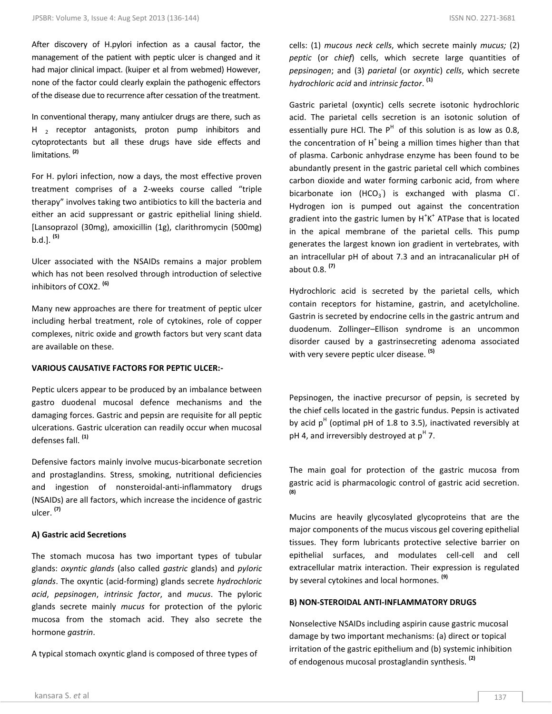After discovery of H.pylori infection as a causal factor, the management of the patient with peptic ulcer is changed and it had major clinical impact. (kuiper et al from webmed) However, none of the factor could clearly explain the pathogenic effectors of the disease due to recurrence after cessation of the treatment.

In conventional therapy, many antiulcer drugs are there, such as H  $_2$  receptor antagonists, proton pump inhibitors and cytoprotectants but all these drugs have side effects and limitations. **(2)**

For H. pylori infection, now a days, the most effective proven treatment comprises of a 2-weeks course called "triple therapy" involves taking two antibiotics to kill the bacteria and either an acid suppressant or gastric epithelial lining shield. [Lansoprazol (30mg), amoxicillin (1g), clarithromycin (500mg) b.d.]. **(5)**

Ulcer associated with the NSAIDs remains a major problem which has not been resolved through introduction of selective inhibitors of COX2. **(6)**

Many new approaches are there for treatment of peptic ulcer including herbal treatment, role of cytokines, role of copper complexes, nitric oxide and growth factors but very scant data are available on these.

## **VARIOUS CAUSATIVE FACTORS FOR PEPTIC ULCER:-**

Peptic ulcers appear to be produced by an imbalance between gastro duodenal mucosal defence mechanisms and the damaging forces. Gastric and pepsin are requisite for all peptic ulcerations. Gastric ulceration can readily occur when mucosal defenses fall. **(1)** 

Defensive factors mainly involve mucus-bicarbonate secretion and prostaglandins. Stress, smoking, nutritional deficiencies and ingestion of nonsteroidal-anti-inflammatory drugs (NSAIDs) are all factors, which increase the incidence of gastric ulcer. **(7)**

## **A) Gastric acid Secretions**

The stomach mucosa has two important types of tubular glands: *oxyntic glands* (also called *gastric* glands) and *pyloric glands*. The oxyntic (acid-forming) glands secrete *hydrochloric acid*, *pepsinogen*, *intrinsic factor*, and *mucus*. The pyloric glands secrete mainly *mucus* for protection of the pyloric mucosa from the stomach acid. They also secrete the hormone *gastrin*.

A typical stomach oxyntic gland is composed of three types of

cells: (1) *mucous neck cells*, which secrete mainly *mucus;* (2) *peptic* (or *chief*) cells, which secrete large quantities of *pepsinogen*; and (3) *parietal* (or *oxyntic*) *cells*, which secrete *hydrochloric acid* and *intrinsic factor*. **(1)**

Gastric parietal (oxyntic) cells secrete isotonic hydrochloric acid. The parietal cells secretion is an isotonic solution of essentially pure HCl. The  $P^H$  of this solution is as low as 0.8, the concentration of  $H<sup>+</sup>$  being a million times higher than that of plasma. Carbonic anhydrase enzyme has been found to be abundantly present in the gastric parietal cell which combines carbon dioxide and water forming carbonic acid, from where bicarbonate ion  $(HCO<sub>3</sub>)$  is exchanged with plasma Cl<sup>-</sup>. Hydrogen ion is pumped out against the concentration gradient into the gastric lumen by  $H^+K^+$  ATPase that is located in the apical membrane of the parietal cells. This pump generates the largest known ion gradient in vertebrates, with an intracellular pH of about 7.3 and an intracanalicular pH of about 0.8. **(7)**

Hydrochloric acid is secreted by the parietal cells, which contain receptors for histamine, gastrin, and acetylcholine. Gastrin is secreted by endocrine cells in the gastric antrum and duodenum. Zollinger–Ellison syndrome is an uncommon disorder caused by a gastrinsecreting adenoma associated with very severe peptic ulcer disease. **(5)**

Pepsinogen, the inactive precursor of pepsin, is secreted by the chief cells located in the gastric fundus. Pepsin is activated by acid  $p<sup>H</sup>$  (optimal pH of 1.8 to 3.5), inactivated reversibly at pH 4, and irreversibly destroyed at  $p^H$  7.

The main goal for protection of the gastric mucosa from gastric acid is pharmacologic control of gastric acid secretion. **(8)**

Mucins are heavily glycosylated glycoproteins that are the major components of the mucus viscous gel covering epithelial tissues. They form lubricants protective selective barrier on epithelial surfaces, and modulates cell-cell and cell extracellular matrix interaction. Their expression is regulated by several cytokines and local hormones. **(9)**

## **B) NON-STEROIDAL ANTI-INFLAMMATORY DRUGS**

Nonselective NSAIDs including aspirin cause gastric mucosal damage by two important mechanisms: (a) direct or topical irritation of the gastric epithelium and (b) systemic inhibition of endogenous mucosal prostaglandin synthesis. **(2)**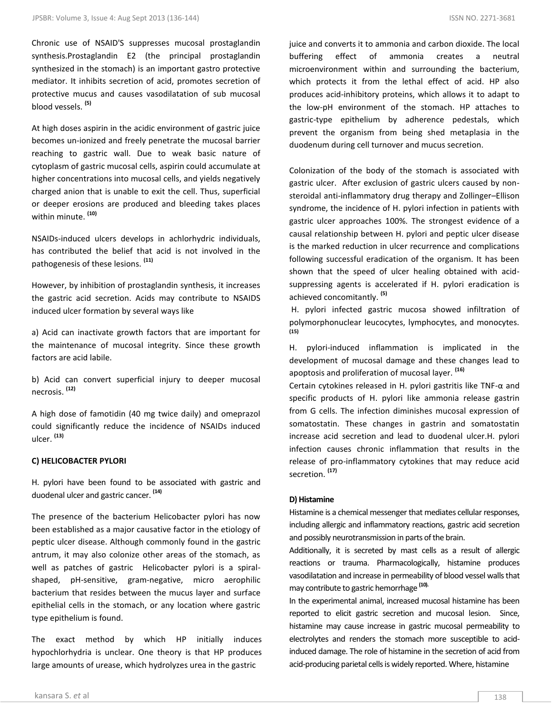Chronic use of NSAID'S suppresses mucosal prostaglandin synthesis.Prostaglandin E2 (the principal prostaglandin synthesized in the stomach) is an important gastro protective mediator. It inhibits secretion of acid, promotes secretion of protective mucus and causes vasodilatation of sub mucosal blood vessels. **(5)**

At high doses aspirin in the acidic environment of gastric juice becomes un-ionized and freely penetrate the mucosal barrier reaching to gastric wall. Due to weak basic nature of cytoplasm of gastric mucosal cells, aspirin could accumulate at higher concentrations into mucosal cells, and yields negatively charged anion that is unable to exit the cell. Thus, superficial or deeper erosions are produced and bleeding takes places within minute. **(10)**

NSAIDs-induced ulcers develops in achlorhydric individuals, has contributed the belief that acid is not involved in the pathogenesis of these lesions. **(11)**

However, by inhibition of prostaglandin synthesis, it increases the gastric acid secretion. Acids may contribute to NSAIDS induced ulcer formation by several ways like

a) Acid can inactivate growth factors that are important for the maintenance of mucosal integrity. Since these growth factors are acid labile.

b) Acid can convert superficial injury to deeper mucosal necrosis. **(12)**

A high dose of famotidin (40 mg twice daily) and omeprazol could significantly reduce the incidence of NSAIDs induced ulcer. **(13)**

## **C) HELICOBACTER PYLORI**

H. pylori have been found to be associated with gastric and duodenal ulcer and gastric cancer. **(14)**

The presence of the bacterium Helicobacter pylori has now been established as a major causative factor in the etiology of peptic ulcer disease. Although commonly found in the gastric antrum, it may also colonize other areas of the stomach, as well as patches of gastric Helicobacter pylori is a spiralshaped, pH-sensitive, gram-negative, micro aerophilic bacterium that resides between the mucus layer and surface epithelial cells in the stomach, or any location where gastric type epithelium is found.

The exact method by which HP initially induces hypochlorhydria is unclear. One theory is that HP produces large amounts of urease, which hydrolyzes urea in the gastric

juice and converts it to ammonia and carbon dioxide. The local buffering effect of ammonia creates a neutral microenvironment within and surrounding the bacterium, which protects it from the lethal effect of acid. HP also produces acid-inhibitory proteins, which allows it to adapt to the low-pH environment of the stomach. HP attaches to gastric-type epithelium by adherence pedestals, which prevent the organism from being shed metaplasia in the duodenum during cell turnover and mucus secretion.

Colonization of the body of the stomach is associated with gastric ulcer. After exclusion of gastric ulcers caused by nonsteroidal anti-inflammatory drug therapy and Zollinger–Ellison syndrome, the incidence of H. pylori infection in patients with gastric ulcer approaches 100%. The strongest evidence of a causal relationship between H. pylori and peptic ulcer disease is the marked reduction in ulcer recurrence and complications following successful eradication of the organism. It has been shown that the speed of ulcer healing obtained with acidsuppressing agents is accelerated if H. pylori eradication is achieved concomitantly. **(5)**

H. pylori infected gastric mucosa showed infiltration of polymorphonuclear leucocytes, lymphocytes, and monocytes. **(15)**

H. pylori-induced inflammation is implicated in the development of mucosal damage and these changes lead to apoptosis and proliferation of mucosal layer. **(16)**

Certain cytokines released in H. pylori gastritis like TNF-α and specific products of H. pylori like ammonia release gastrin from G cells. The infection diminishes mucosal expression of somatostatin. These changes in gastrin and somatostatin increase acid secretion and lead to duodenal ulcer.H. pylori infection causes chronic inflammation that results in the release of pro-inflammatory cytokines that may reduce acid secretion. **(17)**

## **D) Histamine**

Histamine is a chemical messenger that mediates cellular responses, including allergic and inflammatory reactions, gastric acid secretion and possibly neurotransmission in parts of the brain.

Additionally, it is secreted by mast cells as a result of allergic reactions or trauma. Pharmacologically, histamine produces vasodilatation and increase in permeability of blood vessel walls that may contribute to gastric hemorrhage **(10).**

In the experimental animal, increased mucosal histamine has been reported to elicit gastric secretion and mucosal lesion. Since, histamine may cause increase in gastric mucosal permeability to electrolytes and renders the stomach more susceptible to acidinduced damage. The role of histamine in the secretion of acid from acid-producing parietal cells is widely reported. Where, histamine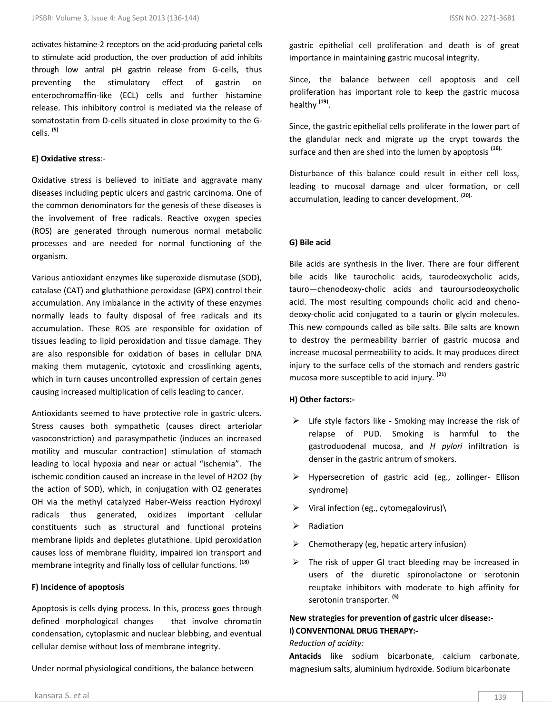activates histamine-2 receptors on the acid-producing parietal cells to stimulate acid production, the over production of acid inhibits through low antral pH gastrin release from G-cells, thus preventing the stimulatory effect of gastrin on enterochromaffin-like (ECL) cells and further histamine release. This inhibitory control is mediated via the release of somatostatin from D-cells situated in close proximity to the Gcells. **(5)**

## **E) Oxidative stress**:-

Oxidative stress is believed to initiate and aggravate many diseases including peptic ulcers and gastric carcinoma. One of the common denominators for the genesis of these diseases is the involvement of free radicals. Reactive oxygen species (ROS) are generated through numerous normal metabolic processes and are needed for normal functioning of the organism.

Various antioxidant enzymes like superoxide dismutase (SOD), catalase (CAT) and gluthathione peroxidase (GPX) control their accumulation. Any imbalance in the activity of these enzymes normally leads to faulty disposal of free radicals and its accumulation. These ROS are responsible for oxidation of tissues leading to lipid peroxidation and tissue damage. They are also responsible for oxidation of bases in cellular DNA making them mutagenic, cytotoxic and crosslinking agents, which in turn causes uncontrolled expression of certain genes causing increased multiplication of cells leading to cancer.

Antioxidants seemed to have protective role in gastric ulcers. Stress causes both sympathetic (causes direct arteriolar vasoconstriction) and parasympathetic (induces an increased motility and muscular contraction) stimulation of stomach leading to local hypoxia and near or actual "ischemia". The ischemic condition caused an increase in the level of H2O2 (by the action of SOD), which, in conjugation with O2 generates OH via the methyl catalyzed Haber-Weiss reaction Hydroxyl radicals thus generated, oxidizes important cellular constituents such as structural and functional proteins membrane lipids and depletes glutathione. Lipid peroxidation causes loss of membrane fluidity, impaired ion transport and membrane integrity and finally loss of cellular functions. **(18)**

## **F) Incidence of apoptosis**

Apoptosis is cells dying process. In this, process goes through defined morphological changes that involve chromatin condensation, cytoplasmic and nuclear blebbing, and eventual cellular demise without loss of membrane integrity.

Under normal physiological conditions, the balance between

gastric epithelial cell proliferation and death is of great importance in maintaining gastric mucosal integrity.

Since, the balance between cell apoptosis and cell proliferation has important role to keep the gastric mucosa healthy **(19)** .

Since, the gastric epithelial cells proliferate in the lower part of the glandular neck and migrate up the crypt towards the surface and then are shed into the lumen by apoptosis **(16).**

Disturbance of this balance could result in either cell loss, leading to mucosal damage and ulcer formation, or cell accumulation, leading to cancer development. **(20).** 

#### **G) Bile acid**

Bile acids are synthesis in the liver. There are four different bile acids like taurocholic acids, taurodeoxycholic acids, tauro—chenodeoxy-cholic acids and tauroursodeoxycholic acid. The most resulting compounds cholic acid and chenodeoxy-cholic acid conjugated to a taurin or glycin molecules. This new compounds called as bile salts. Bile salts are known to destroy the permeability barrier of gastric mucosa and increase mucosal permeability to acids. It may produces direct injury to the surface cells of the stomach and renders gastric mucosa more susceptible to acid injury. **(21)**

## **H) Other factors:-**

- $\triangleright$  Life style factors like Smoking may increase the risk of relapse of PUD. Smoking is harmful to the gastroduodenal mucosa, and *H pylori* infiltration is denser in the gastric antrum of smokers[.](javascript:showrefcontent()
- > Hypersecretion of gastric acid (eg., zollinger- Ellison syndrome)
- $\triangleright$  Viral infection (eg., cytomegalovirus)
- Radiation
- Chemotherapy (eg, hepatic artery infusion)
- $\triangleright$  The risk of upper GI tract bleeding may be increased in users of the diuretic spironolactone or serotonin reuptake inhibitors with moderate to high affinity for serotonin transporter. **(5)**

## **New strategies for prevention of gastric ulcer disease:- I) CONVENTIONAL DRUG THERAPY:-**

#### *Reduction of acidity:*

**Antacids** like sodium bicarbonate, calcium carbonate, magnesium salts, aluminium hydroxide. Sodium bicarbonate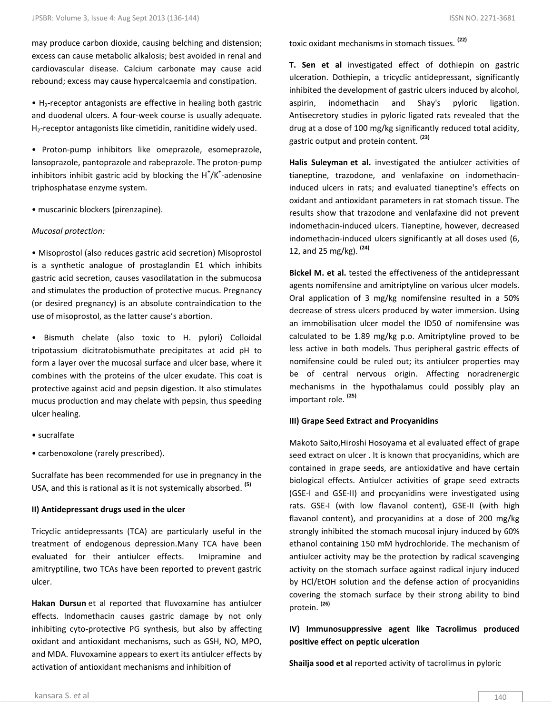may produce carbon dioxide, causing belching and distension; excess can cause metabolic alkalosis; best avoided in renal and cardiovascular disease. Calcium carbonate may cause acid rebound; excess may cause hypercalcaemia and constipation.

 $\bullet$  H<sub>2</sub>-receptor antagonists are effective in healing both gastric and duodenal ulcers. A four-week course is usually adequate. H<sub>2</sub>-receptor antagonists like cimetidin, ranitidine widely used.

• Proton-pump inhibitors like omeprazole, esomeprazole, lansoprazole, pantoprazole and rabeprazole. The proton-pump inhibitors inhibit gastric acid by blocking the  $H^{\dagger}/K^{\dagger}$ -adenosine triphosphatase enzyme system.

• muscarinic blockers (pirenzapine).

#### *Mucosal protection:*

• Misoprostol (also reduces gastric acid secretion) Misoprostol is a synthetic analogue of prostaglandin E1 which inhibits gastric acid secretion, causes vasodilatation in the submucosa and stimulates the production of protective mucus. Pregnancy (or desired pregnancy) is an absolute contraindication to the use of misoprostol, as the latter cause's abortion.

• Bismuth chelate (also toxic to H. pylori) Colloidal tripotassium dicitratobismuthate precipitates at acid pH to form a layer over the mucosal surface and ulcer base, where it combines with the proteins of the ulcer exudate. This coat is protective against acid and pepsin digestion. It also stimulates mucus production and may chelate with pepsin, thus speeding ulcer healing.

- sucralfate
- carbenoxolone (rarely prescribed).

Sucralfate has been recommended for use in pregnancy in the USA, and this is rational as it is not systemically absorbed. **(5)**

## **II) Antidepressant drugs used in the ulcer**

Tricyclic antidepressants (TCA) are particularly useful in the treatment of endogenous depression.Many TCA have been evaluated for their antiulcer effects. Imipramine and amitryptiline, two TCAs have been reported to prevent gastric ulcer.

**Hakan Dursun** et al reported that fluvoxamine has antiulcer effects. Indomethacin causes gastric damage by not only inhibiting cyto-protective PG synthesis, but also by affecting oxidant and antioxidant mechanisms, such as GSH, NO, MPO, and MDA. Fluvoxamine appears to exert its antiulcer effects by activation of antioxidant mechanisms and inhibition of

toxic oxidant mechanisms in stomach tissues. **(22)**

**T. Sen et al** investigated effect of dothiepin on gastric ulceration. Dothiepin, a tricyclic antidepressant, significantly inhibited the development of gastric ulcers induced by alcohol, aspirin, indomethacin and Shay's pyloric ligation. Antisecretory studies in pyloric ligated rats revealed that the drug at a dose of 100 mg/kg significantly reduced total acidity, gastric output and protein content. **(23)**

**Halis Suleyman et al.** investigated the antiulcer activities of tianeptine, trazodone, and venlafaxine on indomethacininduced ulcers in rats; and evaluated tianeptine's effects on oxidant and antioxidant parameters in rat stomach tissue. The results show that trazodone and venlafaxine did not prevent indomethacin-induced ulcers. Tianeptine, however, decreased indomethacin-induced ulcers significantly at all doses used (6, 12, and 25 mg/kg). **(24)**

**Bickel M. et al.** tested the effectiveness of the antidepressant agents nomifensine and amitriptyline on various ulcer models. Oral application of 3 mg/kg nomifensine resulted in a 50% decrease of stress ulcers produced by water immersion. Using an immobilisation ulcer model the ID50 of nomifensine was calculated to be 1.89 mg/kg p.o. Amitriptyline proved to be less active in both models. Thus peripheral gastric effects of nomifensine could be ruled out; its antiulcer properties may be of central nervous origin. Affecting noradrenergic mechanisms in the hypothalamus could possibly play an important role. **(25)**

## **III) Grape Seed Extract and Procyanidins**

Makoto Saito,Hiroshi Hosoyama et al evaluated effect of grape seed extract on ulcer . It is known that procyanidins, which are contained in grape seeds, are antioxidative and have certain biological effects. Antiulcer activities of grape seed extracts (GSE-I and GSE-II) and procyanidins were investigated using rats. GSE-I (with low flavanol content), GSE-II (with high flavanol content), and procyanidins at a dose of 200 mg/kg strongly inhibited the stomach mucosal injury induced by 60% ethanol containing 150 mM hydrochloride. The mechanism of antiulcer activity may be the protection by radical scavenging activity on the stomach surface against radical injury induced by HCl/EtOH solution and the defense action of procyanidins covering the stomach surface by their strong ability to bind protein. **(26)**

## **IV) Immunosuppressive agent like Tacrolimus produced positive effect on peptic ulceration**

**Shailja sood et al** reported activity of tacrolimus in pyloric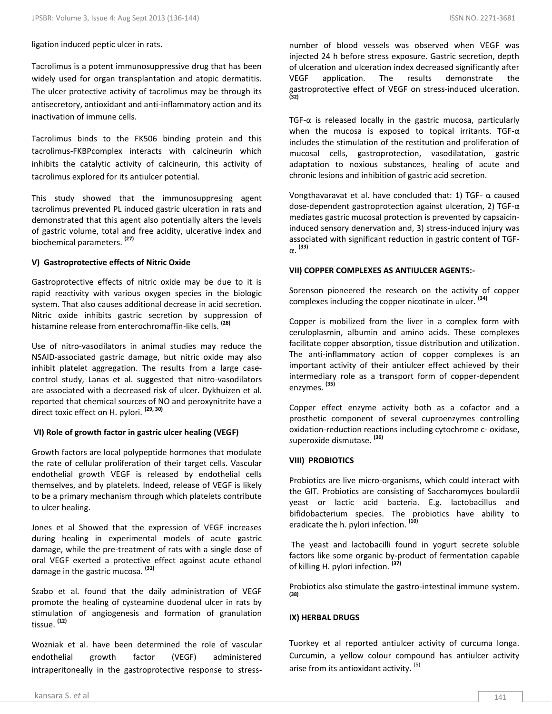ligation induced peptic ulcer in rats.

Tacrolimus is a potent immunosuppressive drug that has been widely used for organ transplantation and atopic dermatitis. The ulcer protective activity of tacrolimus may be through its antisecretory, antioxidant and anti-inflammatory action and its inactivation of immune cells.

Tacrolimus binds to the FK506 binding protein and this tacrolimus-FKBPcomplex interacts with calcineurin which inhibits the catalytic activity of calcineurin, this activity of tacrolimus explored for its antiulcer potential.

This study showed that the immunosuppresing agent tacrolimus prevented PL induced gastric ulceration in rats and demonstrated that this agent also potentially alters the levels of gastric volume, total and free acidity, ulcerative index and biochemical parameters. **(27)**

## **V) Gastroprotective effects of Nitric Oxide**

Gastroprotective effects of nitric oxide may be due to it is rapid reactivity with various oxygen species in the biologic system. That also causes additional decrease in acid secretion. Nitric oxide inhibits gastric secretion by suppression of histamine release from enterochromaffin-like cells. **(28)**

Use of nitro-vasodilators in animal studies may reduce the NSAID-associated gastric damage, but nitric oxide may also inhibit platelet aggregation. The results from a large casecontrol study, Lanas et al. suggested that nitro-vasodilators are associated with a decreased risk of ulcer. Dykhuizen et al. reported that chemical sources of NO and peroxynitrite have a direct toxic effect on H. pylori. **(29, 30)**

## **VI) Role of growth factor in gastric ulcer healing (VEGF)**

Growth factors are local polypeptide hormones that modulate the rate of cellular proliferation of their target cells. Vascular endothelial growth VEGF is released by endothelial cells themselves, and by platelets. Indeed, release of VEGF is likely to be a primary mechanism through which platelets contribute to ulcer healing.

Jones et al Showed that the expression of VEGF increases during healing in experimental models of acute gastric damage, while the pre-treatment of rats with a single dose of oral VEGF exerted a protective effect against acute ethanol damage in the gastric mucosa. **(31)**

Szabo et al. found that the daily administration of VEGF promote the healing of cysteamine duodenal ulcer in rats by stimulation of angiogenesis and formation of granulation tissue. **(12)** 

Wozniak et al. have been determined the role of vascular endothelial growth factor (VEGF) administered intraperitoneally in the gastroprotective response to stressnumber of blood vessels was observed when VEGF was injected 24 h before stress exposure. Gastric secretion, depth of ulceration and ulceration index decreased significantly after VEGF application. The results demonstrate the gastroprotective effect of VEGF on stress-induced ulceration. **(32)**

TGF-α is released locally in the gastric mucosa, particularly when the mucosa is exposed to topical irritants. TGF-α includes the stimulation of the restitution and proliferation of mucosal cells, gastroprotection, vasodilatation, gastric adaptation to noxious substances, healing of acute and chronic lesions and inhibition of gastric acid secretion.

Vongthavaravat et al. have concluded that: 1) TGF-  $\alpha$  caused dose-dependent gastroprotection against ulceration, 2) TGF-α mediates gastric mucosal protection is prevented by capsaicininduced sensory denervation and, 3) stress-induced injury was associated with significant reduction in gastric content of TGFα. **(33)**

#### **VII) COPPER COMPLEXES AS ANTIULCER AGENTS:-**

Sorenson pioneered the research on the activity of copper complexes including the copper nicotinate in ulcer. **(34)**

Copper is mobilized from the liver in a complex form with ceruloplasmin, albumin and amino acids. These complexes facilitate copper absorption, tissue distribution and utilization. The anti-inflammatory action of copper complexes is an important activity of their antiulcer effect achieved by their intermediary role as a transport form of copper-dependent enzymes. **(35)**

Copper effect enzyme activity both as a cofactor and a prosthetic component of several cuproenzymes controlling oxidation-reduction reactions including cytochrome c- oxidase, superoxide dismutase. **(36)**

## **VIII) PROBIOTICS**

Probiotics are live micro-organisms, which could interact with the GIT. Probiotics are consisting of Saccharomyces boulardii yeast or lactic acid bacteria. E.g. lactobacillus and bifidobacterium species. The probiotics have ability to eradicate the h. pylori infection. **(10)**

The yeast and lactobacilli found in yogurt secrete soluble factors like some organic by-product of fermentation capable of killing H. pylori infection. **(37)**

Probiotics also stimulate the gastro-intestinal immune system. **(38)**

## **IX) HERBAL DRUGS**

Tuorkey et al reported antiulcer activity of curcuma longa. Curcumin, a yellow colour compound has antiulcer activity arise from its antioxidant activity. (5)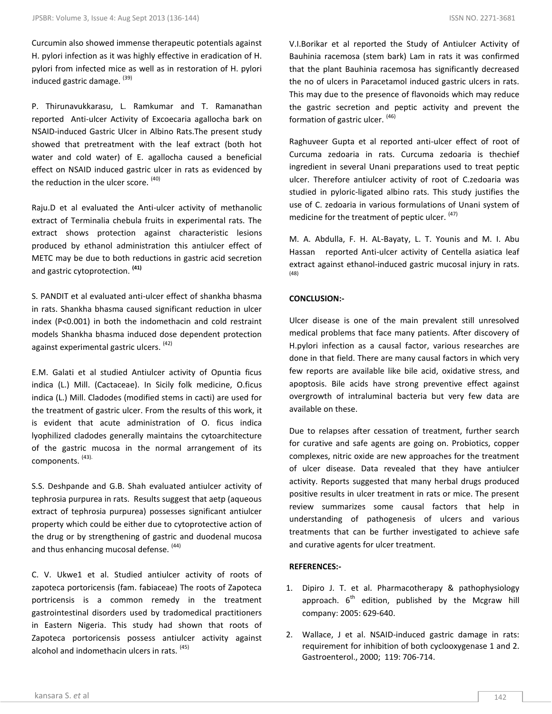P. Thirunavukkarasu, L. Ramkumar and T. Ramanathan reported Anti-ulcer Activity of Excoecaria agallocha bark on NSAID-induced Gastric Ulcer in Albino Rats.The present study showed that pretreatment with the leaf extract (both hot water and cold water) of E. agallocha caused a beneficial effect on NSAID induced gastric ulcer in rats as evidenced by the reduction in the ulcer score.  $(40)$ 

Raju.D et al evaluated the Anti-ulcer activity of methanolic extract of Terminalia chebula fruits in experimental rats. The extract shows protection against characteristic lesions produced by ethanol administration this antiulcer effect of METC may be due to both reductions in gastric acid secretion and gastric cytoprotection. **(41)**

S. PANDIT et al evaluated anti-ulcer effect of shankha bhasma in rats. Shankha bhasma caused significant reduction in ulcer index (P<0.001) in both the indomethacin and cold restraint models Shankha bhasma induced dose dependent protection against experimental gastric ulcers. (42)

E.M. Galati et al studied Antiulcer activity of Opuntia ficus indica (L.) Mill. (Cactaceae). In Sicily folk medicine, O.ficus indica (L.) Mill. Cladodes (modified stems in cacti) are used for the treatment of gastric ulcer. From the results of this work, it is evident that acute administration of O. ficus indica lyophilized cladodes generally maintains the cytoarchitecture of the gastric mucosa in the normal arrangement of its components. (43).

S.S. Deshpande and G.B. Shah evaluated antiulcer activity of tephrosia purpurea in rats. Results suggest that aetp (aqueous extract of tephrosia purpurea) possesses significant antiulcer property which could be either due to cytoprotective action of the drug or by strengthening of gastric and duodenal mucosa and thus enhancing mucosal defense. (44)

C. V. Ukwe1 et al. Studied antiulcer activity of roots of zapoteca portoricensis (fam. fabiaceae) The roots of Zapoteca portricensis is a common remedy in the treatment gastrointestinal disorders used by tradomedical practitioners in Eastern Nigeria. This study had shown that roots of Zapoteca portoricensis possess antiulcer activity against alcohol and indomethacin ulcers in rats. (45)

V.I.Borikar et al reported the Study of Antiulcer Activity of Bauhinia racemosa (stem bark) Lam in rats it was confirmed that the plant Bauhinia racemosa has significantly decreased the no of ulcers in Paracetamol induced gastric ulcers in rats. This may due to the presence of flavonoids which may reduce the gastric secretion and peptic activity and prevent the formation of gastric ulcer. (46)

Raghuveer Gupta et al reported anti-ulcer effect of root of Curcuma zedoaria in rats. Curcuma zedoaria is thechief ingredient in several Unani preparations used to treat peptic ulcer. Therefore antiulcer activity of root of C.zedoaria was studied in pyloric-ligated albino rats. This study justifies the use of C. zedoaria in various formulations of Unani system of medicine for the treatment of peptic ulcer.  $(47)$ 

M. A. Abdulla, F. H. AL-Bayaty, L. T. Younis and M. I. Abu Hassan reported Anti-ulcer activity of Centella asiatica leaf extract against ethanol-induced gastric mucosal injury in rats. (48)

## **CONCLUSION:-**

Ulcer disease is one of the main prevalent still unresolved medical problems that face many patients. After discovery of H.pylori infection as a causal factor, various researches are done in that field. There are many causal factors in which very few reports are available like bile acid, oxidative stress, and apoptosis. Bile acids have strong preventive effect against overgrowth of intraluminal bacteria but very few data are available on these.

Due to relapses after cessation of treatment, further search for curative and safe agents are going on. Probiotics, copper complexes, nitric oxide are new approaches for the treatment of ulcer disease. Data revealed that they have antiulcer activity. Reports suggested that many herbal drugs produced positive results in ulcer treatment in rats or mice. The present review summarizes some causal factors that help in understanding of pathogenesis of ulcers and various treatments that can be further investigated to achieve safe and curative agents for ulcer treatment.

## **REFERENCES:-**

- 1. Dipiro J. T. et al. Pharmacotherapy & pathophysiology approach.  $6<sup>th</sup>$  edition, published by the Mcgraw hill company: 2005: 629-640.
- 2. Wallace, J et al. NSAID-induced gastric damage in rats: requirement for inhibition of both cyclooxygenase 1 and 2. Gastroenterol., 2000; 119: 706-714.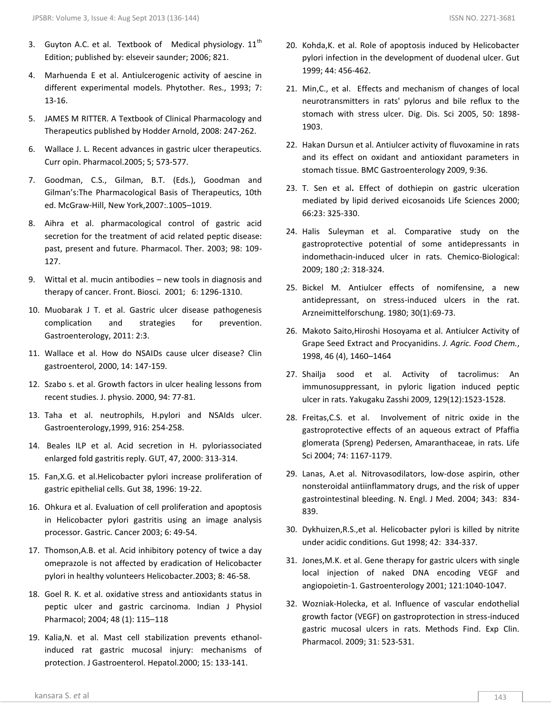- 3. Guyton A.C. et al. Textbook of Medical physiology.  $11<sup>th</sup>$ Edition; published by: elseveir saunder; 2006; 821.
- 4. Marhuenda E et al. Antiulcerogenic activity of aescine in different experimental models. Phytother. Res., 1993; 7: 13-16.
- 5. JAMES M RITTER. A Textbook of Clinical Pharmacology and Therapeutics published by Hodder Arnold, 2008: 247-262.
- 6. Wallace J. L. Recent advances in gastric ulcer therapeutics. Curr opin. Pharmacol.2005; 5; 573-577.
- 7. Goodman, C.S., Gilman, B.T. (Eds.), Goodman and Gilman's:The Pharmacological Basis of Therapeutics, 10th ed. McGraw-Hill, New York,2007:.1005–1019.
- 8. Aihra et al. pharmacological control of gastric acid secretion for the treatment of acid related peptic disease: past, present and future. Pharmacol. Ther. 2003; 98: 109- 127.
- 9. Wittal et al. mucin antibodies new tools in diagnosis and therapy of cancer. Front. Biosci. 2001; 6: 1296-1310.
- 10. Muobarak J T. et al. Gastric ulcer disease pathogenesis complication and strategies for prevention. Gastroenterology, 2011: 2:3.
- 11. Wallace et al. How do NSAIDs cause ulcer disease? Clin gastroenterol, 2000, 14: 147-159.
- 12. Szabo s. et al. Growth factors in ulcer healing lessons from recent studies. J. physio. 2000, 94: 77-81.
- 13. Taha et al. neutrophils, H.pylori and NSAIds ulcer. Gastroenterology,1999, 916: 254-258.
- 14. Beales ILP et al. Acid secretion in H. pyloriassociated enlarged fold gastritis reply. GUT, 47, 2000: 313-314.
- 15. Fan,X.G. et al.Helicobacter pylori increase proliferation of gastric epithelial cells. Gut 38, 1996: 19-22.
- 16. Ohkura et al. Evaluation of cell proliferation and apoptosis in Helicobacter pylori gastritis using an image analysis processor. Gastric. Cancer 2003; 6: 49-54.
- 17. Thomson,A.B. et al. Acid inhibitory potency of twice a day omeprazole is not affected by eradication of Helicobacter pylori in healthy volunteers Helicobacter.2003; 8: 46-58.
- 18. Goel R. K. et al. oxidative stress and antioxidants status in peptic ulcer and gastric carcinoma. Indian J Physiol Pharmacol; 2004; 48 (1): 115–118
- 19. Kalia,N. et al. Mast cell stabilization prevents ethanolinduced rat gastric mucosal injury: mechanisms of protection. J Gastroenterol. Hepatol.2000; 15: 133-141.
- 20. Kohda,K. et al. Role of apoptosis induced by Helicobacter pylori infection in the development of duodenal ulcer. Gut 1999; 44: 456-462.
- 21. Min,C., et al. Effects and mechanism of changes of local neurotransmitters in rats' pylorus and bile reflux to the stomach with stress ulcer. Dig. Dis. Sci 2005, 50: 1898- 1903.
- 22. Hakan Dursun et al. Antiulcer activity of fluvoxamine in rats and its effect on oxidant and antioxidant parameters in stomach tissue. BMC Gastroenterology 2009, 9:36.
- 23. T. Sen et al**.** Effect of dothiepin on gastric ulceration mediated by lipid derived eicosanoids Life Sciences 2000; 66:23: 325-330.
- 24. Halis Suleyman et al. Comparative study on the gastroprotective potential of some antidepressants in indomethacin-induced ulcer in rats. Chemico-Biological: 2009; 180 ;2: 318-324.
- 25. Bickel M. Antiulcer effects of nomifensine, a new antidepressant, on stress-induced ulcers in the rat. Arzneimittelforschung. 1980; 30(1):69-73.
- 26. Makoto Saito,Hiroshi Hosoyama et al. Antiulcer Activity of Grape Seed Extract and Procyanidins. *J. Agric. Food Chem.*, 1998, 46 (4), 1460–1464
- 27. Shailja sood et al. Activity of tacrolimus: An immunosuppressant, in pyloric ligation induced peptic ulcer in rats. Yakugaku Zasshi 2009, 129(12):1523-1528.
- 28. Freitas,C.S. et al. Involvement of nitric oxide in the gastroprotective effects of an aqueous extract of Pfaffia glomerata (Spreng) Pedersen, Amaranthaceae, in rats. Life Sci 2004; 74: 1167-1179.
- 29. Lanas, A.et al. Nitrovasodilators, low-dose aspirin, other nonsteroidal antiinflammatory drugs, and the risk of upper gastrointestinal bleeding. N. Engl. J Med. 2004; 343: 834- 839.
- 30. Dykhuizen,R.S.,et al. Helicobacter pylori is killed by nitrite under acidic conditions. Gut 1998; 42: 334-337.
- 31. Jones,M.K. et al. Gene therapy for gastric ulcers with single local injection of naked DNA encoding VEGF and angiopoietin-1. Gastroenterology 2001; 121:1040-1047.
- 32. Wozniak-Holecka, et al. Influence of vascular endothelial growth factor (VEGF) on gastroprotection in stress-induced gastric mucosal ulcers in rats. Methods Find. Exp Clin. Pharmacol. 2009; 31: 523-531.